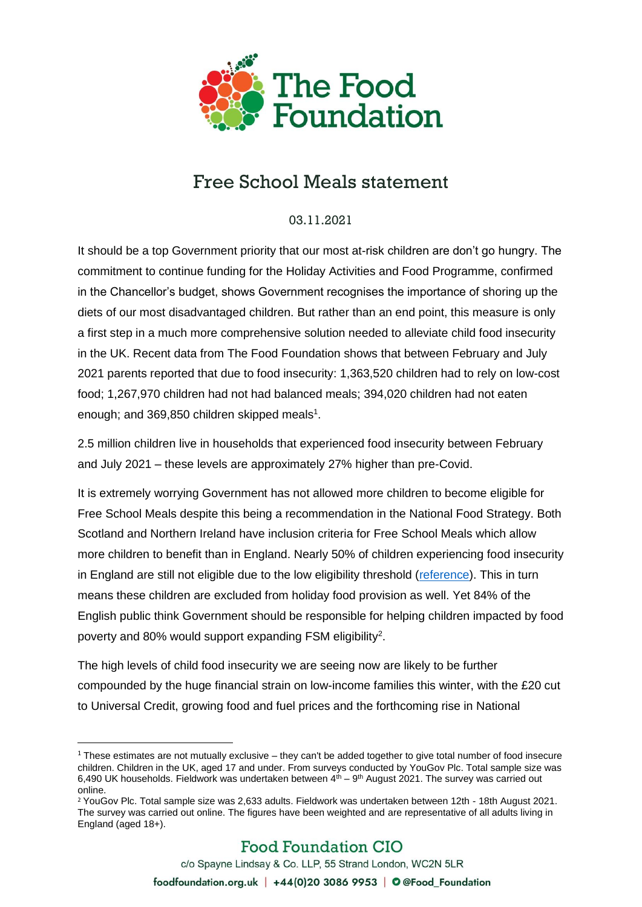

## Free School Meals statement

03.11.2021

It should be a top Government priority that our most at-risk children are don't go hungry. The commitment to continue funding for the Holiday Activities and Food Programme, confirmed in the Chancellor's budget, shows Government recognises the importance of shoring up the diets of our most disadvantaged children. But rather than an end point, this measure is only a first step in a much more comprehensive solution needed to alleviate child food insecurity in the UK. Recent data from The Food Foundation shows that between February and July 2021 parents reported that due to food insecurity: 1,363,520 children had to rely on low-cost food; 1,267,970 children had not had balanced meals; 394,020 children had not eaten enough; and 369,850 children skipped meals $1$ .

2.5 million children live in households that experienced food insecurity between February and July 2021 – these levels are approximately 27% higher than pre-Covid.

It is extremely worrying Government has not allowed more children to become eligible for Free School Meals despite this being a recommendation in the National Food Strategy. Both Scotland and Northern Ireland have inclusion criteria for Free School Meals which allow more children to benefit than in England. Nearly 50% of children experiencing food insecurity in England are still not eligible due to the low eligibility threshold [\(reference\)](https://www.nationalfoodstrategy.org/the-report/). This in turn means these children are excluded from holiday food provision as well. Yet 84% of the English public think Government should be responsible for helping children impacted by food poverty and 80% would support expanding FSM eligibility<sup>2</sup>.

The high levels of child food insecurity we are seeing now are likely to be further compounded by the huge financial strain on low-income families this winter, with the £20 cut to Universal Credit, growing food and fuel prices and the forthcoming rise in National

 $1$  These estimates are not mutually exclusive – they can't be added together to give total number of food insecure children. Children in the UK, aged 17 and under. From surveys conducted by YouGov Plc. Total sample size was 6,490 UK households. Fieldwork was undertaken between  $4<sup>th</sup> - 9<sup>th</sup>$  August 2021. The survey was carried out online.

<sup>2</sup> YouGov Plc. Total sample size was 2,633 adults. Fieldwork was undertaken between 12th - 18th August 2021. The survey was carried out online. The figures have been weighted and are representative of all adults living in England (aged 18+).